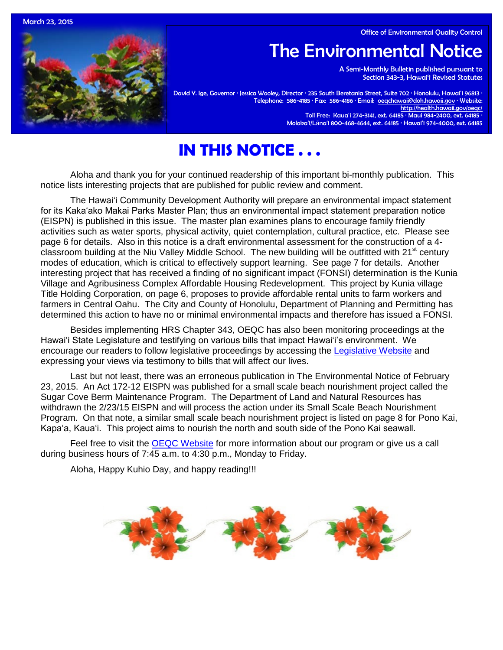Office of Environmental Quality Control

March 23, 2015

# The Environmental Notice

 A Semi-Monthly Bulletin published pursuant to Section 343-3, Hawai'i Revised Statutes

David Y. Ige, Governor · Jessica Wooley, Director · 235 South Beretania Street, Suite 702 · Honolulu, Hawai'i 96813 · Telephone: 586-4185 · Fax: 586-4186 · Email: <u>oeqchawaii@doh.hawaii.gov</u> · Website: <http://health.hawaii.gov/oeqc/> Toll Free: Kauaʻi 274-3141, ext. 64185 · Maui 984-2400, ext. 64185 · Molokaʻi/Lānaʻi 800-468-4644, ext. 64185 · Hawaiʻi 974-4000, ext. 64185

## **IN THIS NOTICE . . .**

Aloha and thank you for your continued readership of this important bi-monthly publication. This notice lists interesting projects that are published for public review and comment.

The Hawaiʻi Community Development Authority will prepare an environmental impact statement for its Kakaʻako Makai Parks Master Plan; thus an environmental impact statement preparation notice (EISPN) is published in this issue. The master plan examines plans to encourage family friendly activities such as water sports, physical activity, quiet contemplation, cultural practice, etc. Please see page 6 for details. Also in this notice is a draft environmental assessment for the construction of a 4 classroom building at the Niu Valley Middle School. The new building will be outfitted with 21<sup>st</sup> century modes of education, which is critical to effectively support learning. See page 7 for details. Another interesting project that has received a finding of no significant impact (FONSI) determination is the Kunia Village and Agribusiness Complex Affordable Housing Redevelopment. This project by Kunia village Title Holding Corporation, on page 6, proposes to provide affordable rental units to farm workers and farmers in Central Oahu. The City and County of Honolulu, Department of Planning and Permitting has determined this action to have no or minimal environmental impacts and therefore has issued a FONSI.

Besides implementing HRS Chapter 343, OEQC has also been monitoring proceedings at the Hawaiʻi State Legislature and testifying on various bills that impact Hawaiʻi's environment. We encourage our readers to follow legislative proceedings by accessing the [Legislative Website](http://www.capitol.hawaii.gov/) and expressing your views via testimony to bills that will affect our lives.

Last but not least, there was an erroneous publication in The Environmental Notice of February 23, 2015. An Act 172-12 EISPN was published for a small scale beach nourishment project called the Sugar Cove Berm Maintenance Program. The Department of Land and Natural Resources has withdrawn the 2/23/15 EISPN and will process the action under its Small Scale Beach Nourishment Program. On that note, a similar small scale beach nourishment project is listed on page 8 for Pono Kai, Kapaʻa, Kaua'i. This project aims to nourish the north and south side of the Pono Kai seawall.

Feel free to visit the [OEQC Website](http://health.hawaii.gov/oeqc/) for more information about our program or give us a call during business hours of 7:45 a.m. to 4:30 p.m., Monday to Friday.

Aloha, Happy Kuhio Day, and happy reading!!!

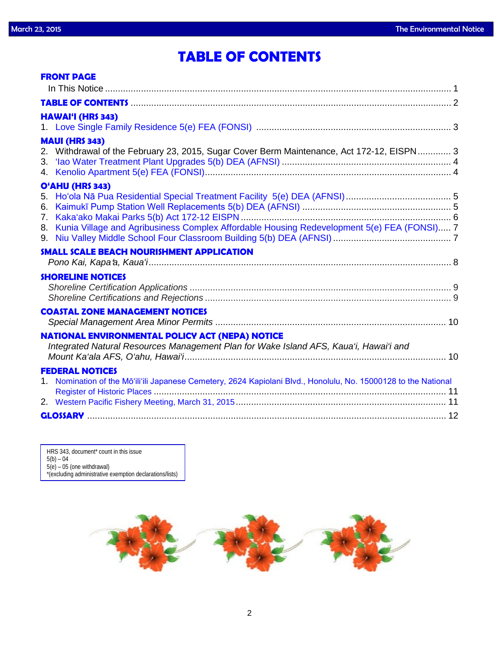## **TABLE OF CONTENTS**

|                            | <b>FRONT PAGE</b>                                                                                                                               |  |
|----------------------------|-------------------------------------------------------------------------------------------------------------------------------------------------|--|
|                            |                                                                                                                                                 |  |
|                            | <b>HAWAI'I (HRS 343)</b>                                                                                                                        |  |
| 4.                         | <b>MAUI (HRS 343)</b><br>2. Withdrawal of the February 23, 2015, Sugar Cover Berm Maintenance, Act 172-12, EISPN 3                              |  |
| 5.<br>6.<br>7.<br>8.<br>9. | O'AHU (HRS 343)<br>Kunia Village and Agribusiness Complex Affordable Housing Redevelopment 5(e) FEA (FONSI) 7                                   |  |
|                            | <b>SMALL SCALE BEACH NOURISHMENT APPLICATION</b>                                                                                                |  |
|                            | <b>SHORELINE NOTICES</b>                                                                                                                        |  |
|                            | <b>COASTAL ZONE MANAGEMENT NOTICES</b>                                                                                                          |  |
|                            | <b>NATIONAL ENVIRONMENTAL POLICY ACT (NEPA) NOTICE</b><br>Integrated Natural Resources Management Plan for Wake Island AFS, Kaua'i, Hawai'i and |  |
|                            | <b>FEDERAL NOTICES</b><br>1. Nomination of the Mō'ili'ili Japanese Cemetery, 2624 Kapiolani Blvd., Honolulu, No. 15000128 to the National       |  |
|                            |                                                                                                                                                 |  |

HRS 343, document<sup>\*</sup> count in this issue 5(b) – 04 5(e) – 05 (one withdrawal) \*(excluding administrative exemption declarations/lists)

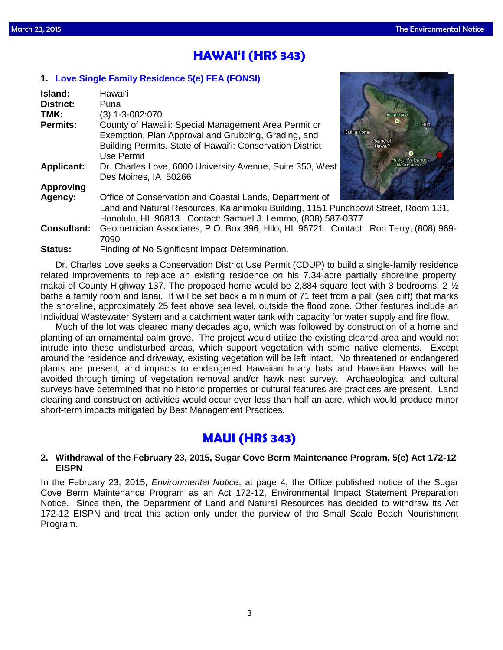### **HAWAI'I (HRS 343)**

### **1. [Love Single Family Residence 5\(e\) FEA \(FONSI\)](http://oeqc.doh.hawaii.gov/Shared%20Documents/EA_and_EIS_Online_Library/Hawaii/2010s/2015-03-23-HA-5E-FEA-Love-Single-Family-Residence.pdf)**

| Island:            | Hawai'i                                                                               |
|--------------------|---------------------------------------------------------------------------------------|
| <b>District:</b>   | Puna                                                                                  |
| TMK:               | $(3)$ 1-3-002:070<br>Mauna Kea                                                        |
| <b>Permits:</b>    | County of Hawai'i: Special Management Area Permit or<br>Hilo                          |
|                    | Kailua Kona<br>Exemption, Plan Approval and Grubbing, Grading, and                    |
|                    | Island of<br>Building Permits. State of Hawai'i: Conservation District<br>Hawai'i     |
|                    | Use Permit<br>Hawai'i Volcanoes                                                       |
| <b>Applicant:</b>  | National Park<br>Dr. Charles Love, 6000 University Avenue, Suite 350, West            |
|                    | Des Moines, IA 50266                                                                  |
| <b>Approving</b>   |                                                                                       |
| Agency:            | Office of Conservation and Coastal Lands, Department of                               |
|                    | Land and Natural Resources, Kalanimoku Building, 1151 Punchbowl Street, Room 131,     |
|                    | Honolulu, HI 96813. Contact: Samuel J. Lemmo, (808) 587-0377                          |
| <b>Consultant:</b> | Geometrician Associates, P.O. Box 396, Hilo, HI 96721. Contact: Ron Terry, (808) 969- |
|                    | 7090                                                                                  |
| <b>Status:</b>     | Finding of No Significant Impact Determination.                                       |

Dr. Charles Love seeks a Conservation District Use Permit (CDUP) to build a single-family residence related improvements to replace an existing residence on his 7.34-acre partially shoreline property, makai of County Highway 137. The proposed home would be 2,884 square feet with 3 bedrooms, 2  $\frac{1}{2}$ baths a family room and lanai. It will be set back a minimum of 71 feet from a pali (sea cliff) that marks the shoreline, approximately 25 feet above sea level, outside the flood zone. Other features include an Individual Wastewater System and a catchment water tank with capacity for water supply and fire flow.

Much of the lot was cleared many decades ago, which was followed by construction of a home and planting of an ornamental palm grove. The project would utilize the existing cleared area and would not intrude into these undisturbed areas, which support vegetation with some native elements. Except around the residence and driveway, existing vegetation will be left intact. No threatened or endangered plants are present, and impacts to endangered Hawaiian hoary bats and Hawaiian Hawks will be avoided through timing of vegetation removal and/or hawk nest survey. Archaeological and cultural surveys have determined that no historic properties or cultural features are practices are present. Land clearing and construction activities would occur over less than half an acre, which would produce minor short-term impacts mitigated by Best Management Practices.

### **MAUI (HRS 343)**

### **2. Withdrawal of the February 23, 2015, Sugar Cove Berm Maintenance Program, 5(e) Act 172-12 EISPN**

In the February 23, 2015, *Environmental Notice*, at page 4, the Office published notice of the Sugar Cove Berm Maintenance Program as an Act 172-12, Environmental Impact Statement Preparation Notice. Since then, the Department of Land and Natural Resources has decided to withdraw its Act 172-12 EISPN and treat this action only under the purview of the Small Scale Beach Nourishment Program.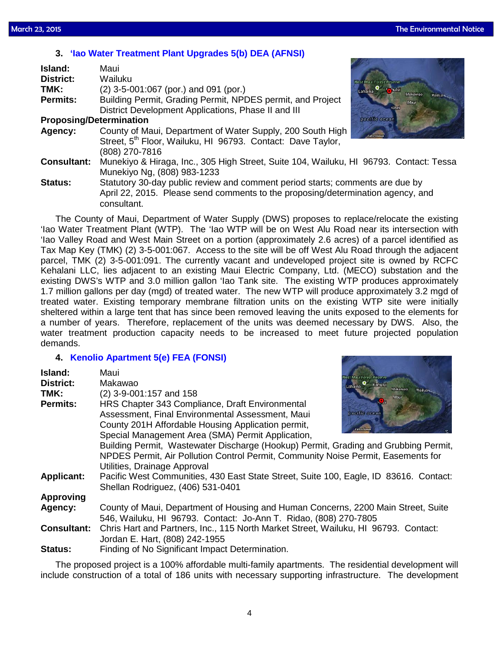### **3. ['Iao Water Treatment Plant Upgrades 5\(b\) DEA \(AFNSI\)](http://oeqc.doh.hawaii.gov/Shared%20Documents/EA_and_EIS_Online_Library/Maui/2010s/2015-03-23-MA-5B-DEA-Iao-Water-Treatment-Plant-Upgrades.pdf)**

| Island:                        | Maui                                                                                   |                                    |
|--------------------------------|----------------------------------------------------------------------------------------|------------------------------------|
| <b>District:</b>               | Wailuku                                                                                | <b>Maui Forest Reserve</b>         |
| TMK:                           | $(2)$ 3-5-001:067 (por.) and 091 (por.)                                                | <b>Sului</b><br>Lahaina<br>Makawao |
| <b>Permits:</b>                | Building Permit, Grading Permit, NPDES permit, and Project                             | Wailua<br>Maui                     |
|                                | District Development Applications, Phase II and III                                    | Kihei                              |
| <b>Proposing/Determination</b> |                                                                                        | pacific ocean                      |
| Agency:                        | County of Maui, Department of Water Supply, 200 South High                             | <b>Kaho'diavia</b>                 |
|                                | Street, 5 <sup>th</sup> Floor, Wailuku, HI 96793. Contact: Dave Taylor,                |                                    |
|                                | (808) 270-7816                                                                         |                                    |
| <b>Consultant:</b>             | Munekiyo & Hiraga, Inc., 305 High Street, Suite 104, Wailuku, HI 96793. Contact: Tessa |                                    |
|                                | Munekiyo Ng, (808) 983-1233                                                            |                                    |
| <b>Status:</b>                 | Statutory 30-day public review and comment period starts; comments are due by          |                                    |

April 22, 2015. Please send comments to the proposing/determination agency, and consultant.

The County of Maui, Department of Water Supply (DWS) proposes to replace/relocate the existing 'Iao Water Treatment Plant (WTP). The 'Iao WTP will be on West Alu Road near its intersection with 'Iao Valley Road and West Main Street on a portion (approximately 2.6 acres) of a parcel identified as Tax Map Key (TMK) (2) 3-5-001:067. Access to the site will be off West Alu Road through the adjacent parcel, TMK (2) 3-5-001:091. The currently vacant and undeveloped project site is owned by RCFC Kehalani LLC, lies adjacent to an existing Maui Electric Company, Ltd. (MECO) substation and the existing DWS's WTP and 3.0 million gallon 'Iao Tank site. The existing WTP produces approximately 1.7 million gallons per day (mgd) of treated water. The new WTP will produce approximately 3.2 mgd of treated water. Existing temporary membrane filtration units on the existing WTP site were initially sheltered within a large tent that has since been removed leaving the units exposed to the elements for a number of years. Therefore, replacement of the units was deemed necessary by DWS. Also, the water treatment production capacity needs to be increased to meet future projected population demands.

### **4. [Kenolio Apartment 5\(e\) FEA \(FONSI\)](http://oeqc.doh.hawaii.gov/Shared%20Documents/EA_and_EIS_Online_Library/Maui/2010s/2015-03-23-MA-5E-FEA-Kihei-Kenolio-Apartments.pdf)**

| Island:<br><b>District:</b><br>TMK:<br><b>Permits:</b> | Maui<br><b>Maui Forest Reserve</b><br>Makawao<br>Lahaina C Kahului<br>Makawao<br>(2) 3-9-001:157 and 158<br>Mau<br><b>K</b> <sub>me</sub><br>HRS Chapter 343 Compliance, Draft Environmental<br>pacific ocean<br>Assessment, Final Environmental Assessment, Maui<br>County 201H Affordable Housing Application permit,<br>taha olaw<br>Special Management Area (SMA) Permit Application,<br>Building Permit, Wastewater Discharge (Hookup) Permit, Grading and Grubbing Permit, |
|--------------------------------------------------------|----------------------------------------------------------------------------------------------------------------------------------------------------------------------------------------------------------------------------------------------------------------------------------------------------------------------------------------------------------------------------------------------------------------------------------------------------------------------------------|
|                                                        | NPDES Permit, Air Pollution Control Permit, Community Noise Permit, Easements for<br>Utilities, Drainage Approval                                                                                                                                                                                                                                                                                                                                                                |
| <b>Applicant:</b>                                      | Pacific West Communities, 430 East State Street, Suite 100, Eagle, ID 83616. Contact:<br>Shellan Rodriguez, (406) 531-0401                                                                                                                                                                                                                                                                                                                                                       |
| <b>Approving</b>                                       |                                                                                                                                                                                                                                                                                                                                                                                                                                                                                  |
| Agency:                                                | County of Maui, Department of Housing and Human Concerns, 2200 Main Street, Suite<br>546, Wailuku, HI 96793. Contact: Jo-Ann T. Ridao, (808) 270-7805                                                                                                                                                                                                                                                                                                                            |
| <b>Consultant:</b>                                     | Chris Hart and Partners, Inc., 115 North Market Street, Wailuku, HI 96793. Contact:<br>Jordan E. Hart, (808) 242-1955                                                                                                                                                                                                                                                                                                                                                            |
| Status:                                                | Finding of No Significant Impact Determination.                                                                                                                                                                                                                                                                                                                                                                                                                                  |

The proposed project is a 100% affordable multi-family apartments. The residential development will include construction of a total of 186 units with necessary supporting infrastructure. The development

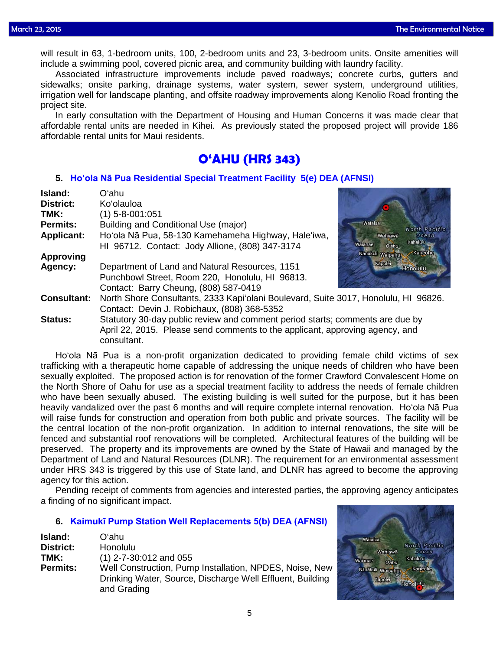will result in 63, 1-bedroom units, 100, 2-bedroom units and 23, 3-bedroom units. Onsite amenities will include a swimming pool, covered picnic area, and community building with laundry facility.

Associated infrastructure improvements include paved roadways; concrete curbs, gutters and sidewalks; onsite parking, drainage systems, water system, sewer system, underground utilities, irrigation well for landscape planting, and offsite roadway improvements along Kenolio Road fronting the project site.

In early consultation with the Department of Housing and Human Concerns it was made clear that affordable rental units are needed in Kihei. As previously stated the proposed project will provide 186 affordable rental units for Maui residents.

### **O'AHU (HRS 343)**

### **5. Ho'ola Nā Pua [Residential Special Treatment Facility 5\(e\) DEA \(AFNSI\)](http://oeqc.doh.hawaii.gov/Shared%20Documents/EA_and_EIS_Online_Library/Oahu/2010s/2015-03-23-OA-5E-DEA-Hoola-Na-Pua-Special-Treatment-Facility.pdf)**

| Island:            | Oʻahu                                                                               |                              |  |
|--------------------|-------------------------------------------------------------------------------------|------------------------------|--|
| <b>District:</b>   | Ko'olauloa                                                                          |                              |  |
| TMK:               | $(1)$ 5-8-001:051                                                                   |                              |  |
| Permits:           | Building and Conditional Use (major)                                                | Waialua<br>North Pacific     |  |
| <b>Applicant:</b>  | Ho'ola Nā Pua, 58-130 Kamehameha Highway, Hale'iwa,                                 | Wahiawa<br>Ocean             |  |
|                    | HI 96712. Contact: Jody Allione, (808) 347-3174                                     | Kahalu'u<br>Waianae<br>O'ahu |  |
| <b>Approving</b>   |                                                                                     | Kaneohe<br>Nanakuli Waipahu  |  |
| Agency:            | Department of Land and Natural Resources, 1151                                      | Kapolei<br>Honolulu          |  |
|                    | Punchbowl Street, Room 220, Honolulu, HI 96813.                                     |                              |  |
|                    | Contact: Barry Cheung, (808) 587-0419                                               |                              |  |
| <b>Consultant:</b> | North Shore Consultants, 2333 Kapi'olani Boulevard, Suite 3017, Honolulu, HI 96826. |                              |  |
|                    | Contact: Devin J. Robichaux, (808) 368-5352                                         |                              |  |
| <b>Status:</b>     | Statutory 30-day public review and comment period starts; comments are due by       |                              |  |
|                    | April 22, 2015. Please send comments to the applicant, approving agency, and        |                              |  |
|                    | consultant.                                                                         |                              |  |

Ho'ola Nā Pua is a non-profit organization dedicated to providing female child victims of sex trafficking with a therapeutic home capable of addressing the unique needs of children who have been sexually exploited. The proposed action is for renovation of the former Crawford Convalescent Home on the North Shore of Oahu for use as a special treatment facility to address the needs of female children who have been sexually abused. The existing building is well suited for the purpose, but it has been heavily vandalized over the past 6 months and will require complete internal renovation. Ho'ola Nā Pua will raise funds for construction and operation from both public and private sources. The facility will be the central location of the non-profit organization. In addition to internal renovations, the site will be fenced and substantial roof renovations will be completed. Architectural features of the building will be preserved. The property and its improvements are owned by the State of Hawaii and managed by the Department of Land and Natural Resources (DLNR). The requirement for an environmental assessment under HRS 343 is triggered by this use of State land, and DLNR has agreed to become the approving agency for this action.

Pending receipt of comments from agencies and interested parties, the approving agency anticipates a finding of no significant impact.

### **6. [Kaimukī Pump Station Well Replacements 5\(b\) DEA \(AFNSI\)](http://oeqc.doh.hawaii.gov/Shared%20Documents/EA_and_EIS_Online_Library/Oahu/2010s/2015-03-23-OA-5B-DEA-Kaimuki-Pump-Station-Well-Replacements.pdf)**

| Island:          | Oʻahu                                                                                                                               |
|------------------|-------------------------------------------------------------------------------------------------------------------------------------|
| <b>District:</b> | Honolulu                                                                                                                            |
| TMK:             | $(1)$ 2-7-30:012 and 055                                                                                                            |
| <b>Permits:</b>  | Well Construction, Pump Installation, NPDES, Noise, New<br>Drinking Water, Source, Discharge Well Effluent, Building<br>and Grading |

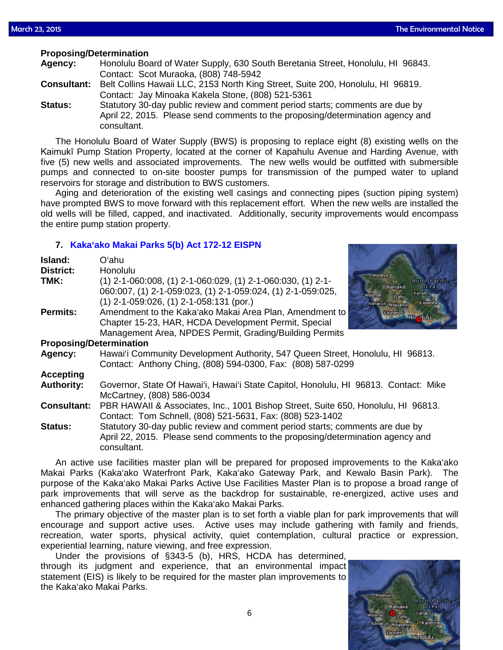### **Proposing/Determination**

| Agency: | Honolulu Board of Water Supply, 630 South Beretania Street, Honolulu, HI 96843. |
|---------|---------------------------------------------------------------------------------|
|         | Contact: Scot Muraoka, (808) 748-5942                                           |

**Consultant:** Belt Collins Hawaii LLC, 2153 North King Street, Suite 200, Honolulu, HI 96819. Contact: Jay Minoaka Kakela Stone, (808) 521-5361

**Status:** Statutory 30-day public review and comment period starts; comments are due by April 22, 2015. Please send comments to the proposing/determination agency and consultant.

The Honolulu Board of Water Supply (BWS) is proposing to replace eight (8) existing wells on the Kaimukī Pump Station Property, located at the corner of Kapahulu Avenue and Harding Avenue, with five (5) new wells and associated improvements. The new wells would be outfitted with submersible pumps and connected to on-site booster pumps for transmission of the pumped water to upland reservoirs for storage and distribution to BWS customers.

Aging and deterioration of the existing well casings and connecting pipes (suction piping system) have prompted BWS to move forward with this replacement effort. When the new wells are installed the old wells will be filled, capped, and inactivated. Additionally, security improvements would encompass the entire pump station property.

### **7. [Kaka'ako Makai Parks 5\(b\) Act 172-12 EISPN](http://oeqc.doh.hawaii.gov/Shared%20Documents/EA_and_EIS_Online_Library/Oahu/2010s/2015-03-23-OA-5B-EISPN-Kakaako-Makai-Parks-Active-Use-Facilities-Master-Plan.pdf)**

consultant.

| Island:<br><b>District:</b> | Oʻahu<br><b>Honolulu</b>                                                                                                                                                   |                                                                            |  |
|-----------------------------|----------------------------------------------------------------------------------------------------------------------------------------------------------------------------|----------------------------------------------------------------------------|--|
| TMK:                        | $(1)$ 2-1-060:008, $(1)$ 2-1-060:029, $(1)$ 2-1-060:030, $(1)$ 2-1-<br>060:007, (1) 2-1-059:023, (1) 2-1-059:024, (1) 2-1-059:025,                                         | Waialua<br>North Pacific<br>Wahiawā<br><b>Ocean</b><br>Kahalu'u<br>Waianae |  |
|                             | $(1)$ 2-1-059:026, $(1)$ 2-1-058:131 (por.)                                                                                                                                | $O'$ ahu<br>Nanakuli Waipahu<br>Kaneohe                                    |  |
| <b>Permits:</b>             | Amendment to the Kaka'ako Makai Area Plan, Amendment to<br>Chapter 15-23, HAR, HCDA Development Permit, Special<br>Management Area, NPDES Permit, Grading/Building Permits | Kapolei<br>Hor July                                                        |  |
|                             | <b>Proposing/Determination</b>                                                                                                                                             |                                                                            |  |
| Agency:                     | Hawai'i Community Development Authority, 547 Queen Street, Honolulu, HI 96813.<br>Contact: Anthony Ching, (808) 594-0300, Fax: (808) 587-0299                              |                                                                            |  |
| <b>Accepting</b>            |                                                                                                                                                                            |                                                                            |  |
| <b>Authority:</b>           | Governor, State Of Hawai'i, Hawai'i State Capitol, Honolulu, HI 96813. Contact: Mike<br>McCartney, (808) 586-0034                                                          |                                                                            |  |
| <b>Consultant:</b>          | PBR HAWAII & Associates, Inc., 1001 Bishop Street, Suite 650, Honolulu, HI 96813.<br>Contact: Tom Schnell, (808) 521-5631, Fax: (808) 523-1402                             |                                                                            |  |
| <b>Status:</b>              | Statutory 30-day public review and comment period starts; comments are due by<br>April 22, 2015. Please send comments to the proposing/determination agency and            |                                                                            |  |

An active use facilities master plan will be prepared for proposed improvements to the Kaka'ako Makai Parks (Kaka'ako Waterfront Park, Kaka'ako Gateway Park, and Kewalo Basin Park). The purpose of the Kaka'ako Makai Parks Active Use Facilities Master Plan is to propose a broad range of park improvements that will serve as the backdrop for sustainable, re-energized, active uses and enhanced gathering places within the Kaka'ako Makai Parks.

The primary objective of the master plan is to set forth a viable plan for park improvements that will encourage and support active uses. Active uses may include gathering with family and friends, recreation, water sports, physical activity, quiet contemplation, cultural practice or expression, experiential learning, nature viewing, and free expression.

Under the provisions of §343-5 (b), HRS, HCDA has determined, through its judgment and experience, that an environmental impact statement (EIS) is likely to be required for the master plan improvements to the Kaka'ako Makai Parks.

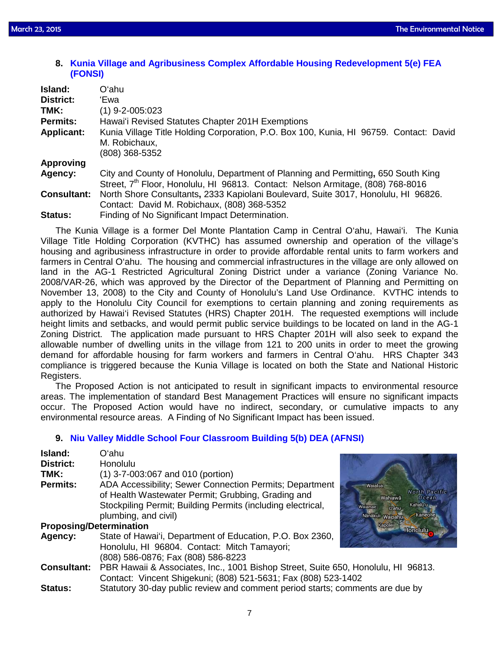**8. [Kunia Village and Agribusiness Complex Affordable Housing Redevelopment 5\(e\) FEA](http://oeqc.doh.hawaii.gov/Shared%20Documents/EA_and_EIS_Online_Library/Oahu/2010s/2015-03-23-OA-5E-FEA-Kunia-Village-and-Agribusiness-Complex-Affordable-Housing-Redevelopment.pdf)  [\(FONSI\)](http://oeqc.doh.hawaii.gov/Shared%20Documents/EA_and_EIS_Online_Library/Oahu/2010s/2015-03-23-OA-5E-FEA-Kunia-Village-and-Agribusiness-Complex-Affordable-Housing-Redevelopment.pdf)**

| Island:            | Oʻahu                                                                                                                                                                             |
|--------------------|-----------------------------------------------------------------------------------------------------------------------------------------------------------------------------------|
| District:          | 'Ewa                                                                                                                                                                              |
| TMK:               | (1) 9-2-005:023                                                                                                                                                                   |
| <b>Permits:</b>    | Hawai'i Revised Statutes Chapter 201H Exemptions                                                                                                                                  |
| <b>Applicant:</b>  | Kunia Village Title Holding Corporation, P.O. Box 100, Kunia, HI 96759. Contact: David<br>M. Robichaux,<br>(808) 368-5352                                                         |
| <b>Approving</b>   |                                                                                                                                                                                   |
| Agency:            | City and County of Honolulu, Department of Planning and Permitting, 650 South King<br>Street, 7 <sup>th</sup> Floor, Honolulu, HI 96813. Contact: Nelson Armitage, (808) 768-8016 |
| <b>Consultant:</b> | North Shore Consultants, 2333 Kapiolani Boulevard, Suite 3017, Honolulu, HI 96826.<br>Contact: David M. Robichaux, (808) 368-5352                                                 |
| <b>Status:</b>     | Finding of No Significant Impact Determination.                                                                                                                                   |

The Kunia Village is a former Del Monte Plantation Camp in Central O'ahu, Hawai'i. The Kunia Village Title Holding Corporation (KVTHC) has assumed ownership and operation of the village's housing and agribusiness infrastructure in order to provide affordable rental units to farm workers and farmers in Central O'ahu. The housing and commercial infrastructures in the village are only allowed on land in the AG-1 Restricted Agricultural Zoning District under a variance (Zoning Variance No. 2008/VAR-26, which was approved by the Director of the Department of Planning and Permitting on November 13, 2008) to the City and County of Honolulu's Land Use Ordinance. KVTHC intends to apply to the Honolulu City Council for exemptions to certain planning and zoning requirements as authorized by Hawai'i Revised Statutes (HRS) Chapter 201H. The requested exemptions will include height limits and setbacks, and would permit public service buildings to be located on land in the AG-1 Zoning District. The application made pursuant to HRS Chapter 201H will also seek to expand the allowable number of dwelling units in the village from 121 to 200 units in order to meet the growing demand for affordable housing for farm workers and farmers in Central O'ahu. HRS Chapter 343 compliance is triggered because the Kunia Village is located on both the State and National Historic Registers.

The Proposed Action is not anticipated to result in significant impacts to environmental resource areas. The implementation of standard Best Management Practices will ensure no significant impacts occur. The Proposed Action would have no indirect, secondary, or cumulative impacts to any environmental resource areas. A Finding of No Significant Impact has been issued.

### **9. [Niu Valley Middle School Four Classroom Building 5\(b\) DEA \(AFNSI\)](http://oeqc.doh.hawaii.gov/Shared%20Documents/EA_and_EIS_Online_Library/Oahu/2010s/2015-03-23-OA-5B-DEA-Niu-Valley-Middle-School-Four-Classrooms-Building.pdf)**

| Island:                        | Oʻahu                                                                             |                                   |
|--------------------------------|-----------------------------------------------------------------------------------|-----------------------------------|
| <b>District:</b>               | Honolulu                                                                          |                                   |
| TMK:                           | $(1)$ 3-7-003:067 and 010 (portion)                                               |                                   |
| <b>Permits:</b>                | ADA Accessibility; Sewer Connection Permits; Department                           | Waialua                           |
|                                | of Health Wastewater Permit; Grubbing, Grading and                                | North Pacific<br>Wahiawā<br>Ocean |
|                                | Stockpiling Permit; Building Permits (including electrical,                       | Kahalu'u<br>Waianae<br>O'ahu      |
|                                | plumbing, and civil)                                                              | Nanakuli Waipahu<br>Kaneohe       |
| <b>Proposing/Determination</b> | Kapolei<br><b>Honolulu</b>                                                        |                                   |
| Agency:                        | State of Hawai'i, Department of Education, P.O. Box 2360,                         |                                   |
|                                | Honolulu, HI 96804. Contact: Mitch Tamayori;                                      |                                   |
|                                | (808) 586-0876; Fax (808) 586-8223                                                |                                   |
| <b>Consultant:</b>             | PBR Hawaii & Associates, Inc., 1001 Bishop Street, Suite 650, Honolulu, HI 96813. |                                   |
|                                | Contact: Vincent Shigekuni; (808) 521-5631; Fax (808) 523-1402                    |                                   |
| <b>Status:</b>                 | Statutory 30-day public review and comment period starts; comments are due by     |                                   |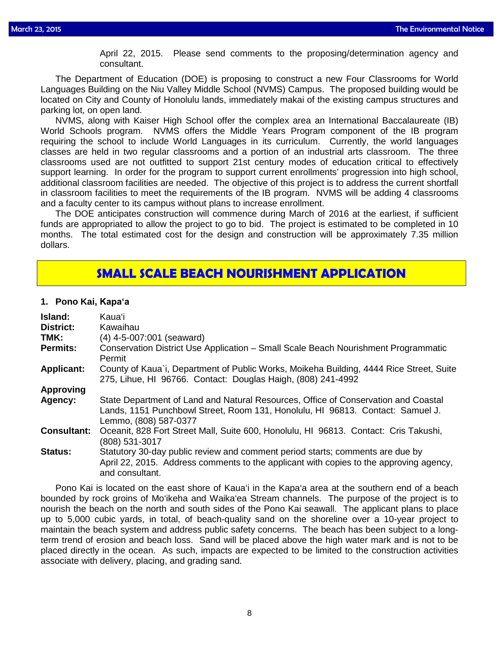April 22, 2015. Please send comments to the proposing/determination agency and consultant.

The Department of Education (DOE) is proposing to construct a new Four Classrooms for World Languages Building on the Niu Valley Middle School (NVMS) Campus. The proposed building would be located on City and County of Honolulu lands, immediately makai of the existing campus structures and parking lot, on open land.

NVMS, along with Kaiser High School offer the complex area an International Baccalaureate (IB) World Schools program. NVMS offers the Middle Years Program component of the IB program requiring the school to include World Languages in its curriculum. Currently, the world languages classes are held in two regular classrooms and a portion of an industrial arts classroom. The three classrooms used are not outfitted to support 21st century modes of education critical to effectively support learning. In order for the program to support current enrollments' progression into high school, additional classroom facilities are needed. The objective of this project is to address the current shortfall in classroom facilities to meet the requirements of the IB program. NVMS will be adding 4 classrooms and a faculty center to its campus without plans to increase enrollment.

The DOE anticipates construction will commence during March of 2016 at the earliest, if sufficient funds are appropriated to allow the project to go to bid. The project is estimated to be completed in 10 months. The total estimated cost for the design and construction will be approximately 7.35 million dollars.

### **SMALL SCALE BEACH NOURISHMENT APPLICATION**

### **1. Pono Kai, Kapaʻa**

| Island:<br><b>District:</b><br>TMK:<br><b>Permits:</b> | Kauaʻi<br>Kawaihau<br>$(4)$ 4-5-007:001 (seaward)<br>Conservation District Use Application - Small Scale Beach Nourishment Programmatic<br>Permit                                             |
|--------------------------------------------------------|-----------------------------------------------------------------------------------------------------------------------------------------------------------------------------------------------|
| <b>Applicant:</b>                                      | County of Kaua`i, Department of Public Works, Moikeha Building, 4444 Rice Street, Suite<br>275, Lihue, HI 96766. Contact: Douglas Haigh, (808) 241-4992                                       |
| <b>Approving</b>                                       |                                                                                                                                                                                               |
| Agency:                                                | State Department of Land and Natural Resources, Office of Conservation and Coastal<br>Lands, 1151 Punchbowl Street, Room 131, Honolulu, HI 96813. Contact: Samuel J.<br>Lemmo, (808) 587-0377 |
| <b>Consultant:</b>                                     | Oceanit, 828 Fort Street Mall, Suite 600, Honolulu, HI 96813. Contact: Cris Takushi,<br>(808) 531-3017                                                                                        |
| <b>Status:</b>                                         | Statutory 30-day public review and comment period starts; comments are due by<br>April 22, 2015. Address comments to the applicant with copies to the approving agency,<br>and consultant.    |

Pono Kai is located on the east shore of Kaua'i in the Kapa'a area at the southern end of a beach bounded by rock groins of Mo'ikeha and Waika'ea Stream channels. The purpose of the project is to nourish the beach on the north and south sides of the Pono Kai seawall. The applicant plans to place up to 5,000 cubic yards, in total, of beach-quality sand on the shoreline over a 10-year project to maintain the beach system and address public safety concerns. The beach has been subject to a longterm trend of erosion and beach loss. Sand will be placed above the high water mark and is not to be placed directly in the ocean. As such, impacts are expected to be limited to the construction activities associate with delivery, placing, and grading sand.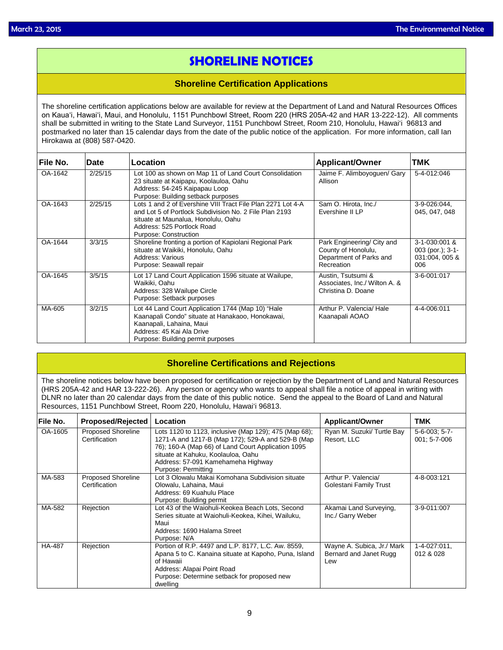## **SHORELINE NOTICES**

### **Shoreline Certification Applications**

The shoreline certification applications below are available for review at the Department of Land and Natural Resources Offices on Kauaʻi, Hawaiʻi, Maui, and Honolulu, 1151 Punchbowl Street, Room 220 (HRS 205A-42 and HAR 13-222-12). All comments shall be submitted in writing to the State Land Surveyor, 1151 Punchbowl Street, Room 210, Honolulu, Hawai'i 96813 and postmarked no later than 15 calendar days from the date of the public notice of the application. For more information, call Ian Hirokawa at (808) 587-0420.

| File No. | Date    | Location                                                                                                                                                                                                            | <b>Applicant/Owner</b>                                                                     | TMK                                                          |
|----------|---------|---------------------------------------------------------------------------------------------------------------------------------------------------------------------------------------------------------------------|--------------------------------------------------------------------------------------------|--------------------------------------------------------------|
| OA-1642  | 2/25/15 | Lot 100 as shown on Map 11 of Land Court Consolidation<br>23 situate at Kaipapu, Koolauloa, Oahu<br>Address: 54-245 Kaipapau Loop<br>Purpose: Building setback purposes                                             | Jaime F. Alimboyoguen/ Gary<br>Allison                                                     | 5-4-012:046                                                  |
| OA-1643  | 2/25/15 | Lots 1 and 2 of Evershine VIII Tract File Plan 2271 Lot 4-A<br>and Lot 5 of Portlock Subdivision No. 2 File Plan 2193<br>situate at Maunalua, Honolulu, Oahu<br>Address: 525 Portlock Road<br>Purpose: Construction | Sam O. Hirota, Inc./<br>Evershine II LP                                                    | 3-9-026:044,<br>045, 047, 048                                |
| OA-1644  | 3/3/15  | Shoreline fronting a portion of Kapiolani Regional Park<br>situate at Waikiki, Honolulu, Oahu<br>Address: Various<br>Purpose: Seawall repair                                                                        | Park Engineering/ City and<br>County of Honolulu,<br>Department of Parks and<br>Recreation | 3-1-030:001 &<br>003 (por.); $3-1-$<br>031:004, 005 &<br>006 |
| OA-1645  | 3/5/15  | Lot 17 Land Court Application 1596 situate at Wailupe,<br>Waikiki, Oahu<br>Address: 328 Wailupe Circle<br>Purpose: Setback purposes                                                                                 | Austin, Tsutsumi &<br>Associates, Inc./ Wilton A. &<br>Christina D. Doane                  | 3-6-001:017                                                  |
| MA-605   | 3/2/15  | Lot 44 Land Court Application 1744 (Map 10) "Hale<br>Kaanapali Condo" situate at Hanakaoo, Honokawai,<br>Kaanapali, Lahaina, Maui<br>Address: 45 Kai Ala Drive<br>Purpose: Building permit purposes                 | Arthur P. Valencia/ Hale<br>Kaanapali AOAO                                                 | 4-4-006:011                                                  |

### **Shoreline Certifications and Rejections**

The shoreline notices below have been proposed for certification or rejection by the Department of Land and Natural Resources (HRS 205A-42 and HAR 13-222-26). Any person or agency who wants to appeal shall file a notice of appeal in writing with DLNR no later than 20 calendar days from the date of this public notice. Send the appeal to the Board of Land and Natural Resources, 1151 Punchbowl Street, Room 220, Honolulu, Hawai'i 96813.

| File No.      | <b>Proposed/Rejected</b>                   | Location                                                                                                                                                                                                                                                            | <b>Applicant/Owner</b>                                      | <b>TMK</b>                         |
|---------------|--------------------------------------------|---------------------------------------------------------------------------------------------------------------------------------------------------------------------------------------------------------------------------------------------------------------------|-------------------------------------------------------------|------------------------------------|
| OA-1605       | <b>Proposed Shoreline</b><br>Certification | Lots 1120 to 1123, inclusive (Map 129); 475 (Map 68);<br>1271-A and 1217-B (Map 172); 529-A and 529-B (Map<br>76); 160-A (Map 66) of Land Court Application 1095<br>situate at Kahuku, Koolauloa, Oahu<br>Address: 57-091 Kamehameha Highway<br>Purpose: Permitting | Ryan M. Suzuki/ Turtle Bay<br>Resort. LLC                   | $5-6-003$ ; $5-7-$<br>001; 5-7-006 |
| MA-583        | <b>Proposed Shoreline</b><br>Certification | Lot 3 Olowalu Makai Komohana Subdivision situate<br>Olowalu, Lahaina, Maui<br>Address: 69 Kuahulu Place<br>Purpose: Building permit                                                                                                                                 | Arthur P. Valencia/<br>Golestani Family Trust               | 4-8-003:121                        |
| MA-582        | Rejection                                  | Lot 43 of the Waiohuli-Keokea Beach Lots, Second<br>Series situate at Waiohuli-Keokea, Kihei, Wailuku,<br>Maui<br>Address: 1690 Halama Street<br>Purpose: N/A                                                                                                       | Akamai Land Surveying,<br>Inc./ Garry Weber                 | 3-9-011:007                        |
| <b>HA-487</b> | Rejection                                  | Portion of R.P. 4497 and L.P. 8177, L.C. Aw. 8559,<br>Apana 5 to C. Kanaina situate at Kapoho, Puna, Island<br>of Hawaii<br>Address: Alapai Point Road<br>Purpose: Determine setback for proposed new<br>dwelling                                                   | Wayne A. Subica, Jr./ Mark<br>Bernard and Janet Rugg<br>Lew | 1-4-027:011,<br>012 & 028          |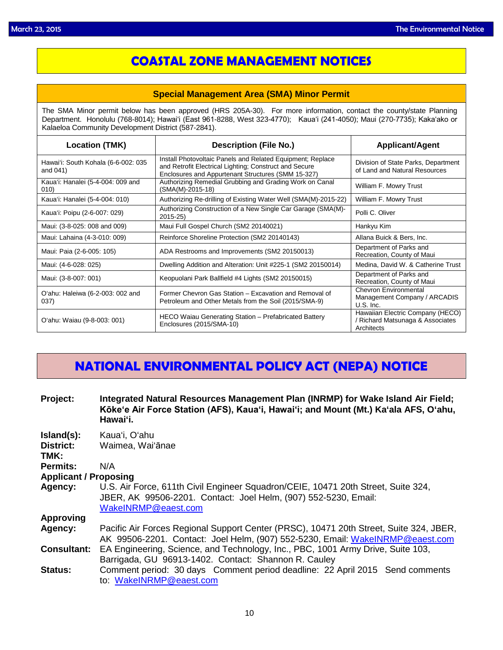### **COASTAL ZONE MANAGEMENT NOTICES**

### **Special Management Area (SMA) Minor Permit**

The SMA Minor permit below has been approved (HRS 205A-30). For more information, contact the county/state Planning Department. Honolulu (768-8014); Hawaiʻi (East 961-8288, West 323-4770); Kauaʻi (241-4050); Maui (270-7735); Kakaʻako or Kalaeloa Community Development District (587-2841).

| <b>Location (TMK)</b>                           | <b>Description (File No.)</b>                                                                                                                                              | <b>Applicant/Agent</b>                                                           |
|-------------------------------------------------|----------------------------------------------------------------------------------------------------------------------------------------------------------------------------|----------------------------------------------------------------------------------|
| Hawai'i: South Kohala (6-6-002: 035<br>and 041) | Install Photovoltaic Panels and Related Equipment; Replace<br>and Retrofit Electrical Lighting; Construct and Secure<br>Enclosures and Appurtenant Structures (SMM 15-327) | Division of State Parks, Department<br>of Land and Natural Resources             |
| Kaua'i: Hanalei (5-4-004: 009 and<br>(010)      | Authorizing Remedial Grubbing and Grading Work on Canal<br>(SMA(M)-2015-18)                                                                                                | William F. Mowry Trust                                                           |
| Kaua'i: Hanalei (5-4-004: 010)                  | Authorizing Re-drilling of Existing Water Well (SMA(M)-2015-22)                                                                                                            | William F. Mowry Trust                                                           |
| Kaua'i: Poipu (2-6-007: 029)                    | Authorizing Construction of a New Single Car Garage (SMA(M)-<br>$2015 - 25$                                                                                                | Polli C. Oliver                                                                  |
| Maui: (3-8-025: 008 and 009)                    | Maui Full Gospel Church (SM2 20140021)                                                                                                                                     | Hankyu Kim                                                                       |
| Maui: Lahaina (4-3-010: 009)                    | Reinforce Shoreline Protection (SM2 20140143)                                                                                                                              | Allana Buick & Bers, Inc.                                                        |
| Maui: Paia (2-6-005: 105)                       | ADA Restrooms and Improvements (SM2 20150013)                                                                                                                              | Department of Parks and<br>Recreation, County of Maui                            |
| Maui: (4-6-028: 025)                            | Dwelling Addition and Alteration: Unit #225-1 (SM2 20150014)                                                                                                               | Medina, David W. & Catherine Trust                                               |
| Maui: (3-8-007: 001)                            | Keopuolani Park Ballfield #4 Lights (SM2 20150015)                                                                                                                         | Department of Parks and<br>Recreation, County of Maui                            |
| O'ahu: Haleiwa (6-2-003: 002 and<br>037)        | Former Chevron Gas Station - Excavation and Removal of<br>Petroleum and Other Metals from the Soil (2015/SMA-9)                                                            | <b>Chevron Environmental</b><br>Management Company / ARCADIS<br>$U.S.$ Inc.      |
| O'ahu: Waiau (9-8-003: 001)                     | HECO Waiau Generating Station - Prefabricated Battery<br>Enclosures (2015/SMA-10)                                                                                          | Hawaiian Electric Company (HECO)<br>Richard Matsunaga & Associates<br>Architects |

### **NATIONAL ENVIRONMENTAL POLICY ACT (NEPA) NOTICE**

- **Project: Integrated Natural Resources Management Plan (INRMP) for Wake Island Air Field; Kōke'e Air Force Station (AFS), Kaua'i, Hawai'i; and Mount (Mt.) Ka'ala AFS, O'ahu, Hawai'i.**
- **Island(s):** Kaua'i, O'ahu

| District: |  | Waimea, Wai'ānae |
|-----------|--|------------------|
|-----------|--|------------------|

**TMK:**

**Permits:** N/A

```
Applicant / Proposing
```
**Agency:** U.S. Air Force, 611th Civil Engineer Squadron/CEIE, 10471 20th Street, Suite 324, JBER, AK 99506-2201. Contact: Joel Helm, (907) 552-5230, Email: [WakeINRMP@eaest.com](mailto:WakeINRMP@eaest.com)

**Approving**

- **Agency:** Pacific Air Forces Regional Support Center (PRSC), 10471 20th Street, Suite 324, JBER, AK 99506-2201. Contact: Joel Helm, (907) 552-5230, Email: [WakeINRMP@eaest.com](mailto:WakeINRMP@eaest.com) **Consultant:** EA Engineering, Science, and Technology, Inc., PBC, 1001 Army Drive, Suite 103,
- Barrigada, GU 96913-1402. Contact: Shannon R. Cauley
- **Status:** Comment period: 30 days Comment period deadline: 22 April 2015 Send comments to: [WakeINRMP@eaest.com](mailto:WakeINRMP@eaest.com)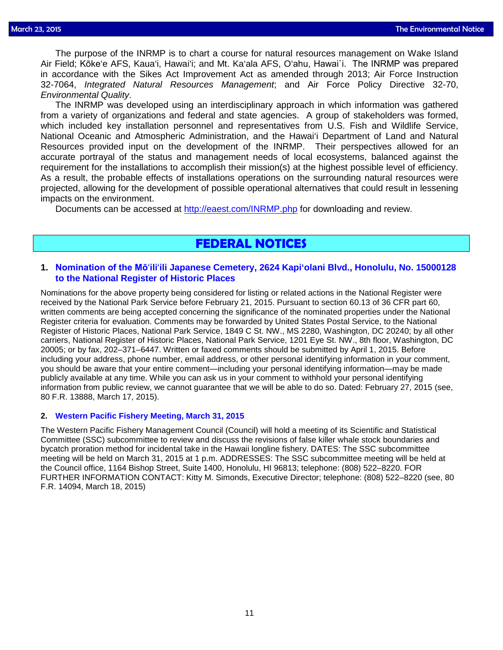The purpose of the INRMP is to chart a course for natural resources management on Wake Island Air Field; Kōke'e AFS, Kaua'i, Hawai'i; and Mt. Ka'ala AFS, O'ahu, Hawaiˋi. The INRMP was prepared in accordance with the Sikes Act Improvement Act as amended through 2013; Air Force Instruction 32-7064, *Integrated Natural Resources Management*; and Air Force Policy Directive 32-70, *Environmental Quality*.

The INRMP was developed using an interdisciplinary approach in which information was gathered from a variety of organizations and federal and state agencies. A group of stakeholders was formed, which included key installation personnel and representatives from U.S. Fish and Wildlife Service, National Oceanic and Atmospheric Administration, and the Hawai'i Department of Land and Natural Resources provided input on the development of the INRMP. Their perspectives allowed for an accurate portrayal of the status and management needs of local ecosystems, balanced against the requirement for the installations to accomplish their mission(s) at the highest possible level of efficiency. As a result, the probable effects of installations operations on the surrounding natural resources were projected, allowing for the development of possible operational alternatives that could result in lessening impacts on the environment.

Documents can be accessed at<http://eaest.com/INRMP.php> for downloading and review.

### **FEDERAL NOTICES**

### **1. Nomination of the Mō'ili'[ili Japanese Cemetery, 2624 Kapi'olani Blvd., Honolulu,](http://www.gpo.gov/fdsys/pkg/FR-2015-03-17/pdf/2015-06025.pdf) No. 15000128 [to the National Register of Historic Places](http://www.gpo.gov/fdsys/pkg/FR-2015-03-17/pdf/2015-06025.pdf)**

Nominations for the above property being considered for listing or related actions in the National Register were received by the National Park Service before February 21, 2015. Pursuant to section 60.13 of 36 CFR part 60, written comments are being accepted concerning the significance of the nominated properties under the National Register criteria for evaluation. Comments may be forwarded by United States Postal Service, to the National Register of Historic Places, National Park Service, 1849 C St. NW., MS 2280, Washington, DC 20240; by all other carriers, National Register of Historic Places, National Park Service, 1201 Eye St. NW., 8th floor, Washington, DC 20005; or by fax, 202–371–6447. Written or faxed comments should be submitted by April 1, 2015. Before including your address, phone number, email address, or other personal identifying information in your comment, you should be aware that your entire comment—including your personal identifying information—may be made publicly available at any time. While you can ask us in your comment to withhold your personal identifying information from public review, we cannot guarantee that we will be able to do so. Dated: February 27, 2015 (see, 80 F.R. 13888, March 17, 2015).

### **2. [Western Pacific Fishery Meeting, March 31, 2015](http://www.gpo.gov/fdsys/pkg/FR-2015-03-18/pdf/2015-06200.pdf)**

The Western Pacific Fishery Management Council (Council) will hold a meeting of its Scientific and Statistical Committee (SSC) subcommittee to review and discuss the revisions of false killer whale stock boundaries and bycatch proration method for incidental take in the Hawaii longline fishery. DATES: The SSC subcommittee meeting will be held on March 31, 2015 at 1 p.m. ADDRESSES: The SSC subcommittee meeting will be held at the Council office, 1164 Bishop Street, Suite 1400, Honolulu, HI 96813; telephone: (808) 522–8220. FOR FURTHER INFORMATION CONTACT: Kitty M. Simonds, Executive Director; telephone: (808) 522–8220 (see, 80 F.R. 14094, March 18, 2015)